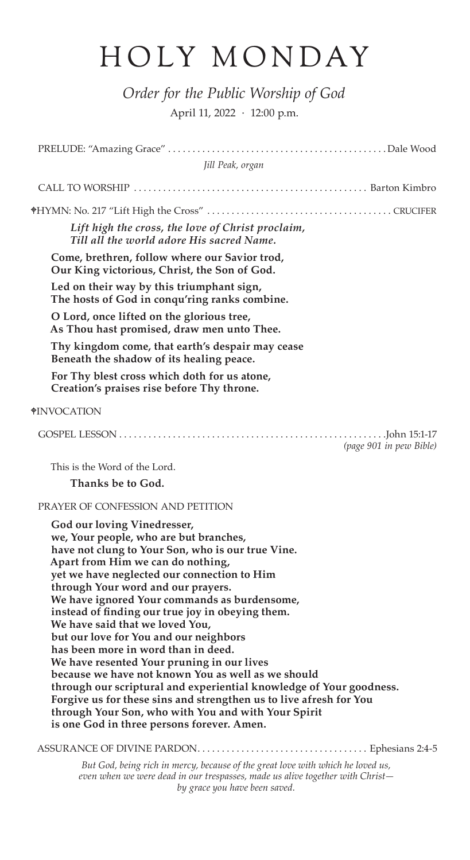## HOLY MONDAY

*Order for the Public Worship of God* April 11, 2022 · 12:00 p.m.

| Jill Peak, organ                                                                                                                                                                                                                                                                                                                                                                                                                                                                                                                                                                                                                                                                                                                                                                                                                   |
|------------------------------------------------------------------------------------------------------------------------------------------------------------------------------------------------------------------------------------------------------------------------------------------------------------------------------------------------------------------------------------------------------------------------------------------------------------------------------------------------------------------------------------------------------------------------------------------------------------------------------------------------------------------------------------------------------------------------------------------------------------------------------------------------------------------------------------|
|                                                                                                                                                                                                                                                                                                                                                                                                                                                                                                                                                                                                                                                                                                                                                                                                                                    |
|                                                                                                                                                                                                                                                                                                                                                                                                                                                                                                                                                                                                                                                                                                                                                                                                                                    |
| Lift high the cross, the love of Christ proclaim,<br>Till all the world adore His sacred Name.                                                                                                                                                                                                                                                                                                                                                                                                                                                                                                                                                                                                                                                                                                                                     |
| Come, brethren, follow where our Savior trod,<br>Our King victorious, Christ, the Son of God.                                                                                                                                                                                                                                                                                                                                                                                                                                                                                                                                                                                                                                                                                                                                      |
| Led on their way by this triumphant sign,<br>The hosts of God in conqu'ring ranks combine.                                                                                                                                                                                                                                                                                                                                                                                                                                                                                                                                                                                                                                                                                                                                         |
| O Lord, once lifted on the glorious tree,<br>As Thou hast promised, draw men unto Thee.                                                                                                                                                                                                                                                                                                                                                                                                                                                                                                                                                                                                                                                                                                                                            |
| Thy kingdom come, that earth's despair may cease<br>Beneath the shadow of its healing peace.                                                                                                                                                                                                                                                                                                                                                                                                                                                                                                                                                                                                                                                                                                                                       |
| For Thy blest cross which doth for us atone,<br>Creation's praises rise before Thy throne.                                                                                                                                                                                                                                                                                                                                                                                                                                                                                                                                                                                                                                                                                                                                         |
| <b>*INVOCATION</b>                                                                                                                                                                                                                                                                                                                                                                                                                                                                                                                                                                                                                                                                                                                                                                                                                 |
| (page 901 in pew Bible)                                                                                                                                                                                                                                                                                                                                                                                                                                                                                                                                                                                                                                                                                                                                                                                                            |
| This is the Word of the Lord.                                                                                                                                                                                                                                                                                                                                                                                                                                                                                                                                                                                                                                                                                                                                                                                                      |
| Thanks be to God.                                                                                                                                                                                                                                                                                                                                                                                                                                                                                                                                                                                                                                                                                                                                                                                                                  |
| PRAYER OF CONFESSION AND PETITION                                                                                                                                                                                                                                                                                                                                                                                                                                                                                                                                                                                                                                                                                                                                                                                                  |
| God our loving Vinedresser,<br>we, Your people, who are but branches,<br>have not clung to Your Son, who is our true Vine.<br>Apart from Him we can do nothing,<br>yet we have neglected our connection to Him<br>through Your word and our prayers.<br>We have ignored Your commands as burdensome,<br>instead of finding our true joy in obeying them.<br>We have said that we loved You,<br>but our love for You and our neighbors<br>has been more in word than in deed.<br>We have resented Your pruning in our lives<br>because we have not known You as well as we should<br>through our scriptural and experiential knowledge of Your goodness.<br>Forgive us for these sins and strengthen us to live afresh for You<br>through Your Son, who with You and with Your Spirit<br>is one God in three persons forever. Amen. |
|                                                                                                                                                                                                                                                                                                                                                                                                                                                                                                                                                                                                                                                                                                                                                                                                                                    |

*But God, being rich in mercy, because of the great love with which he loved us, even when we were dead in our trespasses, made us alive together with Christ by grace you have been saved.*